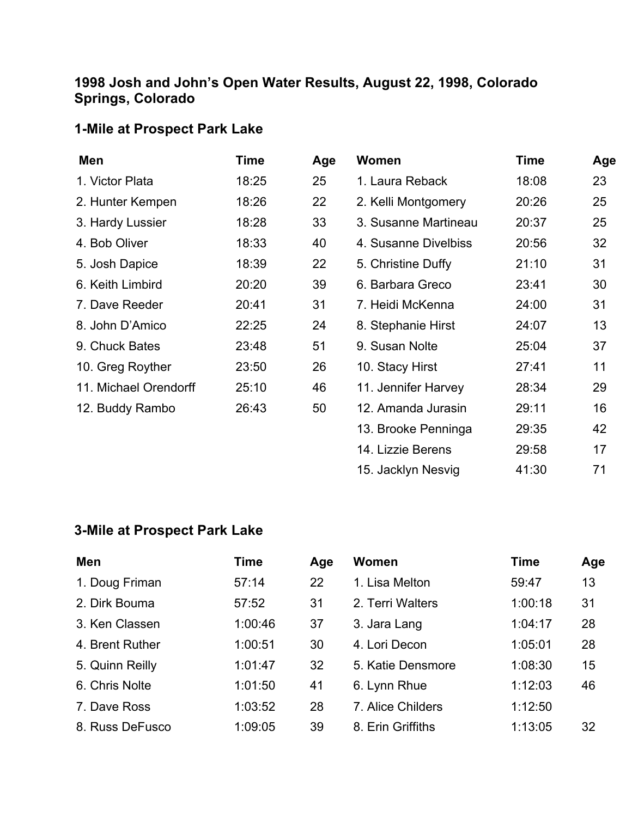## **1998 Josh and John's Open Water Results, August 22, 1998, Colorado Springs, Colorado**

## **1-Mile at Prospect Park Lake**

| Men                   | Time  | Age | <b>Women</b>         | <b>Time</b> | Age |
|-----------------------|-------|-----|----------------------|-------------|-----|
| 1. Victor Plata       | 18:25 | 25  | 1. Laura Reback      | 18:08       | 23  |
| 2. Hunter Kempen      | 18:26 | 22  | 2. Kelli Montgomery  | 20:26       | 25  |
| 3. Hardy Lussier      | 18:28 | 33  | 3. Susanne Martineau | 20:37       | 25  |
| 4. Bob Oliver         | 18:33 | 40  | 4. Susanne Divelbiss | 20:56       | 32  |
| 5. Josh Dapice        | 18:39 | 22  | 5. Christine Duffy   | 21:10       | 31  |
| 6. Keith Limbird      | 20:20 | 39  | 6. Barbara Greco     | 23:41       | 30  |
| 7. Dave Reeder        | 20:41 | 31  | 7. Heidi McKenna     | 24:00       | 31  |
| 8. John D'Amico       | 22:25 | 24  | 8. Stephanie Hirst   | 24:07       | 13  |
| 9. Chuck Bates        | 23:48 | 51  | 9. Susan Nolte       | 25:04       | 37  |
| 10. Greg Royther      | 23:50 | 26  | 10. Stacy Hirst      | 27:41       | 11  |
| 11. Michael Orendorff | 25:10 | 46  | 11. Jennifer Harvey  | 28:34       | 29  |
| 12. Buddy Rambo       | 26:43 | 50  | 12. Amanda Jurasin   | 29:11       | 16  |
|                       |       |     | 13. Brooke Penninga  | 29:35       | 42  |
|                       |       |     | 14. Lizzie Berens    | 29:58       | 17  |

15. Jacklyn Nesvig 41:30 71

## **3-Mile at Prospect Park Lake**

| Men             | Time    | Age | <b>Women</b>      | Time    | Age |
|-----------------|---------|-----|-------------------|---------|-----|
| 1. Doug Friman  | 57:14   | 22  | 1. Lisa Melton    | 59:47   | 13  |
| 2. Dirk Bouma   | 57:52   | 31  | 2. Terri Walters  | 1:00:18 | 31  |
| 3. Ken Classen  | 1:00:46 | 37  | 3. Jara Lang      | 1:04:17 | 28  |
| 4. Brent Ruther | 1:00:51 | 30  | 4. Lori Decon     | 1:05:01 | 28  |
| 5. Quinn Reilly | 1:01:47 | 32  | 5. Katie Densmore | 1:08:30 | 15  |
| 6. Chris Nolte  | 1:01:50 | 41  | 6. Lynn Rhue      | 1:12:03 | 46  |
| 7. Dave Ross    | 1:03:52 | 28  | 7. Alice Childers | 1:12:50 |     |
| 8. Russ DeFusco | 1:09:05 | 39  | 8. Erin Griffiths | 1:13:05 | 32  |